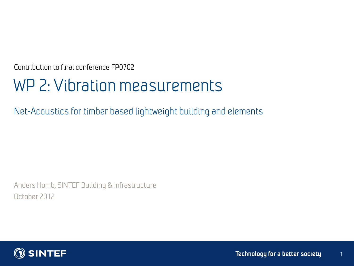Contribution to final conference FP0702

# WP 2: Vibration measurements

Net-Acoustics for timber based lightweight building and elements

Anders Homb, SINTEF Building & Infrastructure October 2012



1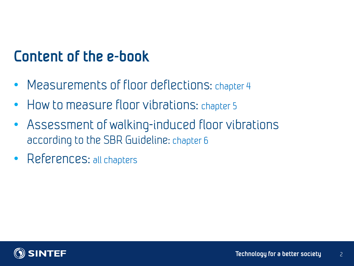## **Content of the e-book**

- Measurements of floor deflections: chapter 4
- How to measure floor vibrations: chapter 5
- Assessment of walking-induced floor vibrations according to the SBR Guideline: chapter 6
- References: all chapters

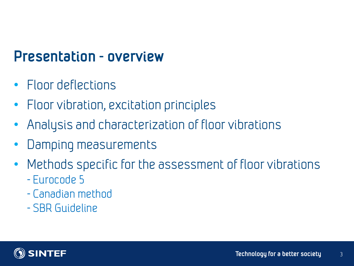### **Presentation - overview**

- Floor deflections
- Floor vibration, excitation principles
- Analysis and characterization of floor vibrations
- Damping measurements
- Methods specific for the assessment of floor vibrations
	- Eurocode 5
	- Canadian method
	- SBR Guideline

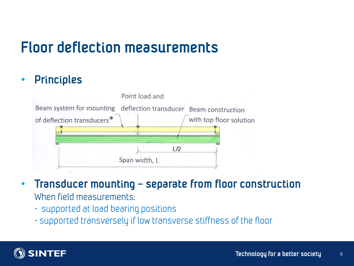## **Floor deflection measurements**

#### • **Principles**



- **Transducer mounting – separate from floor construction** When field measurements:
	- supported at load bearing positions
	- supported transversely if low transverse stiffness of the floor

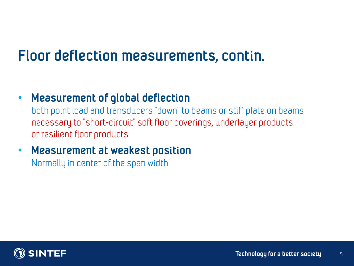## **Floor deflection measurements, contin.**

• **Measurement of global deflection**

both point load and transducers "down" to beams or stiff plate on beams necessary to "short-circuit" soft floor coverings, underlayer products or resilient floor products

• **Measurement at weakest position** Normally in center of the span width

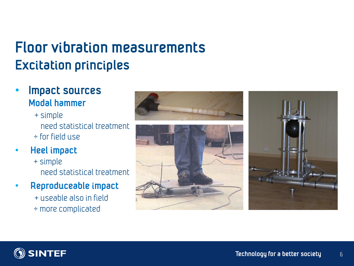## **Floor vibration measurements Excitation principles**

- **Impact sources Modal hammer**
	- + simple need statistical treatment ÷ for field use
- **Heel impact**
	- + simple need statistical treatment
- **Reproduceable impact**
	- + useable also in field
	- ÷ more complicated







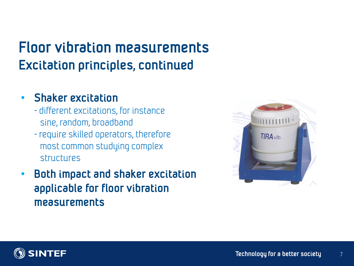## **Floor vibration measurements Excitation principles, continued**

#### • **Shaker excitation**

- different excitations, for instance sine, random, broadband
- require skilled operators, therefore most common studying complex structures
- **Both impact and shaker excitation applicable for floor vibration measurements**



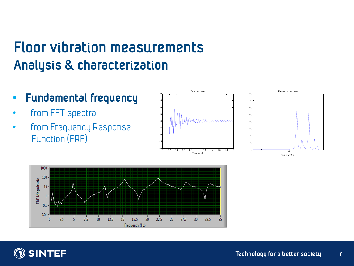## **Floor vibration measurements Analysis & characterization**

- **Fundamental frequency**
- - from FFT-spectra
- - from Frequency Response Function (FRF)







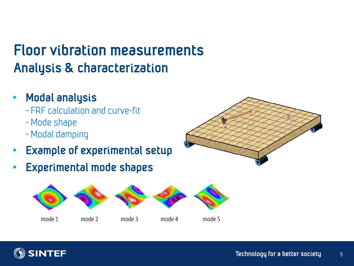# **Floor vibration measurements Analysis & characterization**

#### • **Modal analysis**

- FRF calculation and curve-fit
- Mode shape
- Modal damping
- **Example of experimental setup**
- **Experimental mode shapes**





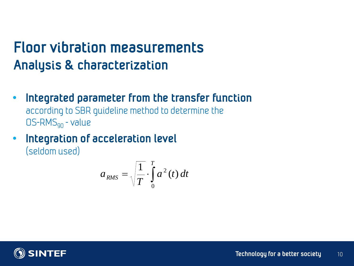## **Floor vibration measurements Analysis & characterization**

- **Integrated parameter from the transfer function** according to SBR guideline method to determine the  $OS-RMS<sub>q0</sub>$  - value
- **Integration of acceleration level** (seldom used)

$$
a_{RMS} = \sqrt{\frac{1}{T}} \cdot \int_{0}^{T} a^2(t) dt
$$

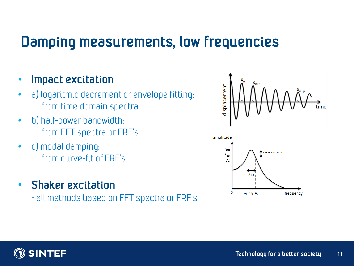### **Damping measurements, low frequencies**

#### • **Impact excitation**

- a) logaritmic decrement or envelope fitting: from time domain spectra
- b) half-power bandwidth: from FFT spectra or FRF's
- c) modal damping: from curve-fit of FRF's
- **Shaker excitation**

- all methods based on FFT spectra or FRF's



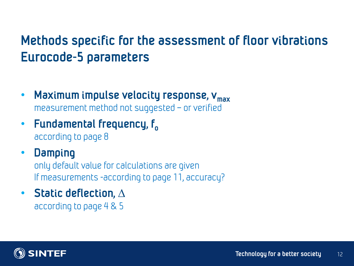### **Methods specific for the assessment of floor vibrations Eurocode-5 parameters**

- **Maximum impulse velocity response, vmax** measurement method not suggested – or verified
- **Fundamental frequency, f o** according to page 8
- **Damping**  only default value for calculations are given If measurements -according to page 11, accuracy?
- **Static deflection, ∆** according to page 4 & 5

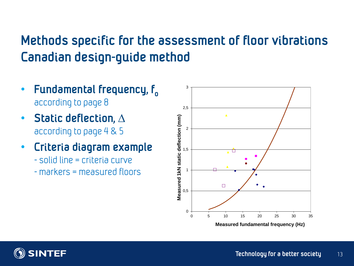### **Methods specific for the assessment of floor vibrations Canadian design-guide method**

- **Fundamental frequency, f o** according to page 8
- **Static deflection, ∆** according to page 4 & 5
- **Criteria diagram example**
	- solid line = criteria curve
	- markers = measured floors



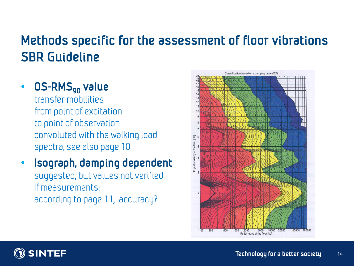### **Methods specific for the assessment of floor vibrations SBR Guideline**

#### • **OS-RMS<sup>90</sup> value**

transfer mobilities from point of excitation to point of observation convoluted with the walking load spectra, see also page 10

#### • **Isograph, damping dependent** suggested, but values not verified If measurements: according to page 11, accuracy?



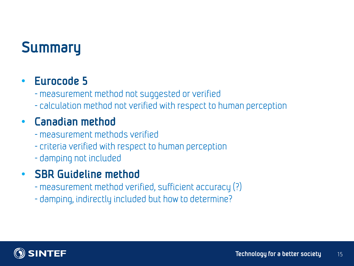# **Summary**

#### • **Eurocode 5**

- measurement method not suggested or verified

- calculation method not verified with respect to human perception

### • **Canadian method**

- measurement methods verified
- criteria verified with respect to human perception
- damping not included

### • **SBR Guideline method**

- measurement method verified, sufficient accuracy (?)
- damping, indirectly included but how to determine?